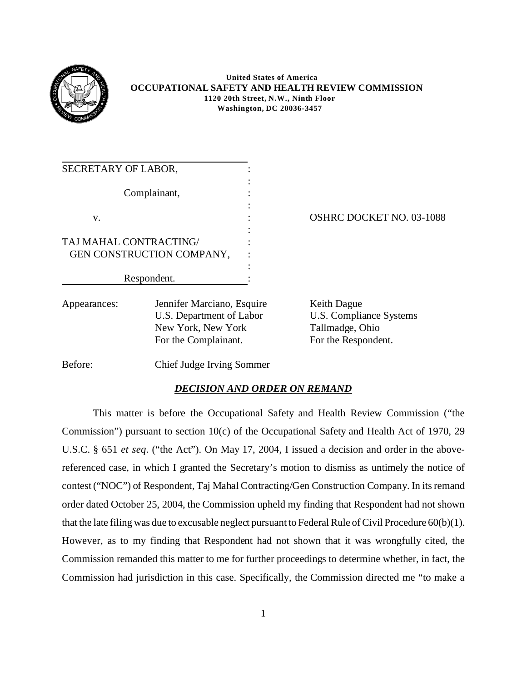

## **United States of America OCCUPATIONAL SAFETY AND HEALTH REVIEW COMMISSION 1120 20th Street, N.W., Ninth Floor Washington, DC 20036-3457**

| SECRETARY OF LABOR,          |                                                                                                      |                                                                                  |
|------------------------------|------------------------------------------------------------------------------------------------------|----------------------------------------------------------------------------------|
|                              | Complainant,                                                                                         |                                                                                  |
| V.<br>TAJ MAHAL CONTRACTING/ | GEN CONSTRUCTION COMPANY,                                                                            | <b>OSHRC DOCKET NO. 03-1088</b>                                                  |
|                              | Respondent.                                                                                          |                                                                                  |
| Appearances:                 | Jennifer Marciano, Esquire<br>U.S. Department of Labor<br>New York, New York<br>For the Complainant. | Keith Dague<br>U.S. Compliance Systems<br>Tallmadge, Ohio<br>For the Respondent. |

Before: Chief Judge Irving Sommer

## *DECISION AND ORDER ON REMAND*

This matter is before the Occupational Safety and Health Review Commission ("the Commission") pursuant to section 10(c) of the Occupational Safety and Health Act of 1970, 29 U.S.C. § 651 *et seq*. ("the Act"). On May 17, 2004, I issued a decision and order in the abovereferenced case, in which I granted the Secretary's motion to dismiss as untimely the notice of contest ("NOC") of Respondent, Taj Mahal Contracting/Gen Construction Company. In its remand order dated October 25, 2004, the Commission upheld my finding that Respondent had not shown that the late filing was due to excusable neglect pursuant to Federal Rule of Civil Procedure 60(b)(1). However, as to my finding that Respondent had not shown that it was wrongfully cited, the Commission remanded this matter to me for further proceedings to determine whether, in fact, the Commission had jurisdiction in this case. Specifically, the Commission directed me "to make a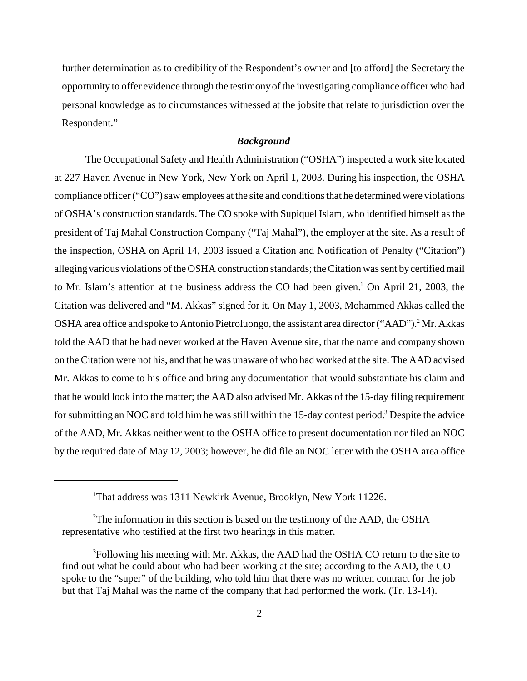further determination as to credibility of the Respondent's owner and [to afford] the Secretary the opportunity to offer evidence through the testimony of the investigating compliance officer who had personal knowledge as to circumstances witnessed at the jobsite that relate to jurisdiction over the Respondent."

## *Background*

The Occupational Safety and Health Administration ("OSHA") inspected a work site located at 227 Haven Avenue in New York, New York on April 1, 2003. During his inspection, the OSHA compliance officer ("CO") saw employees at the site and conditions that he determined were violations of OSHA's construction standards. The CO spoke with Supiquel Islam, who identified himself as the president of Taj Mahal Construction Company ("Taj Mahal"), the employer at the site. As a result of the inspection, OSHA on April 14, 2003 issued a Citation and Notification of Penalty ("Citation") alleging various violations of the OSHA construction standards; the Citation was sent by certified mail to Mr. Islam's attention at the business address the CO had been given.<sup>1</sup> On April 21, 2003, the Citation was delivered and "M. Akkas" signed for it. On May 1, 2003, Mohammed Akkas called the OSHA area office and spoke to Antonio Pietroluongo, the assistant area director ("AAD").<sup>2</sup> Mr. Akkas told the AAD that he had never worked at the Haven Avenue site, that the name and company shown on the Citation were not his, and that he was unaware of who had worked at the site. The AAD advised Mr. Akkas to come to his office and bring any documentation that would substantiate his claim and that he would look into the matter; the AAD also advised Mr. Akkas of the 15-day filing requirement for submitting an NOC and told him he was still within the 15-day contest period.<sup>3</sup> Despite the advice of the AAD, Mr. Akkas neither went to the OSHA office to present documentation nor filed an NOC by the required date of May 12, 2003; however, he did file an NOC letter with the OSHA area office

<sup>1</sup> That address was 1311 Newkirk Avenue, Brooklyn, New York 11226.

<sup>&</sup>lt;sup>2</sup>The information in this section is based on the testimony of the AAD, the OSHA representative who testified at the first two hearings in this matter.

<sup>&</sup>lt;sup>3</sup>Following his meeting with Mr. Akkas, the AAD had the OSHA CO return to the site to find out what he could about who had been working at the site; according to the AAD, the CO spoke to the "super" of the building, who told him that there was no written contract for the job but that Taj Mahal was the name of the company that had performed the work. (Tr. 13-14).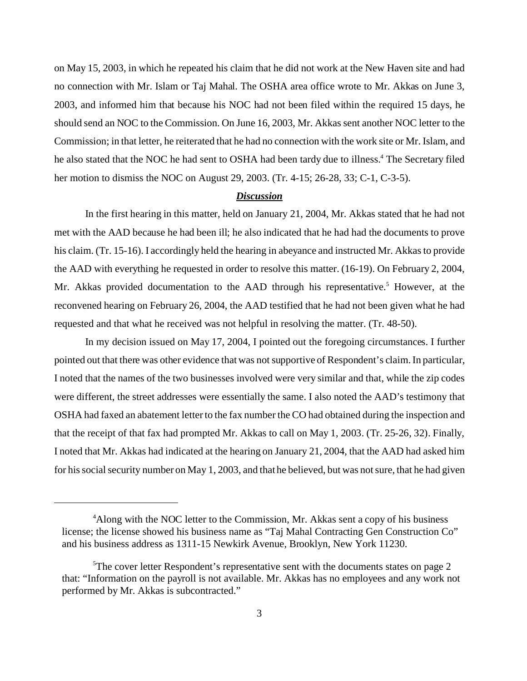on May 15, 2003, in which he repeated his claim that he did not work at the New Haven site and had no connection with Mr. Islam or Taj Mahal. The OSHA area office wrote to Mr. Akkas on June 3, 2003, and informed him that because his NOC had not been filed within the required 15 days, he should send an NOC to the Commission. On June 16, 2003, Mr. Akkas sent another NOC letter to the Commission; in that letter, he reiterated that he had no connection with the work site or Mr. Islam, and he also stated that the NOC he had sent to OSHA had been tardy due to illness.<sup>4</sup> The Secretary filed her motion to dismiss the NOC on August 29, 2003. (Tr. 4-15; 26-28, 33; C-1, C-3-5).

## *Discussion*

In the first hearing in this matter, held on January 21, 2004, Mr. Akkas stated that he had not met with the AAD because he had been ill; he also indicated that he had had the documents to prove his claim. (Tr. 15-16). I accordingly held the hearing in abeyance and instructed Mr. Akkas to provide the AAD with everything he requested in order to resolve this matter. (16-19). On February 2, 2004, Mr. Akkas provided documentation to the AAD through his representative.<sup>5</sup> However, at the reconvened hearing on February 26, 2004, the AAD testified that he had not been given what he had requested and that what he received was not helpful in resolving the matter. (Tr. 48-50).

In my decision issued on May 17, 2004, I pointed out the foregoing circumstances. I further pointed out that there was other evidence that was not supportive of Respondent's claim. In particular, I noted that the names of the two businesses involved were very similar and that, while the zip codes were different, the street addresses were essentially the same. I also noted the AAD's testimony that OSHA had faxed an abatement letter to the fax number the CO had obtained during the inspection and that the receipt of that fax had prompted Mr. Akkas to call on May 1, 2003. (Tr. 25-26, 32). Finally, I noted that Mr. Akkas had indicated at the hearing on January 21, 2004, that the AAD had asked him for his social security number on May 1, 2003, and that he believed, but was not sure, that he had given

<sup>&</sup>lt;sup>4</sup>Along with the NOC letter to the Commission, Mr. Akkas sent a copy of his business license; the license showed his business name as "Taj Mahal Contracting Gen Construction Co" and his business address as 1311-15 Newkirk Avenue, Brooklyn, New York 11230.

<sup>&</sup>lt;sup>5</sup>The cover letter Respondent's representative sent with the documents states on page 2 that: "Information on the payroll is not available. Mr. Akkas has no employees and any work not performed by Mr. Akkas is subcontracted."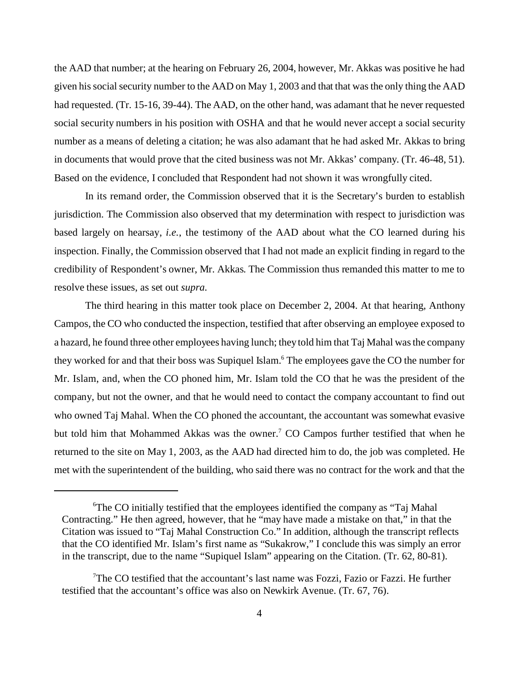the AAD that number; at the hearing on February 26, 2004, however, Mr. Akkas was positive he had given his social security number to the AAD on May 1, 2003 and that that was the only thing the AAD had requested. (Tr. 15-16, 39-44). The AAD, on the other hand, was adamant that he never requested social security numbers in his position with OSHA and that he would never accept a social security number as a means of deleting a citation; he was also adamant that he had asked Mr. Akkas to bring in documents that would prove that the cited business was not Mr. Akkas' company. (Tr. 46-48, 51). Based on the evidence, I concluded that Respondent had not shown it was wrongfully cited.

In its remand order, the Commission observed that it is the Secretary's burden to establish jurisdiction. The Commission also observed that my determination with respect to jurisdiction was based largely on hearsay, *i.e.*, the testimony of the AAD about what the CO learned during his inspection. Finally, the Commission observed that I had not made an explicit finding in regard to the credibility of Respondent's owner, Mr. Akkas. The Commission thus remanded this matter to me to resolve these issues, as set out *supra*.

The third hearing in this matter took place on December 2, 2004. At that hearing, Anthony Campos, the CO who conducted the inspection, testified that after observing an employee exposed to a hazard, he found three other employees having lunch; they told him that Taj Mahal was the company they worked for and that their boss was Supiquel Islam.<sup>6</sup> The employees gave the CO the number for Mr. Islam, and, when the CO phoned him, Mr. Islam told the CO that he was the president of the company, but not the owner, and that he would need to contact the company accountant to find out who owned Taj Mahal. When the CO phoned the accountant, the accountant was somewhat evasive but told him that Mohammed Akkas was the owner.<sup>7</sup> CO Campos further testified that when he returned to the site on May 1, 2003, as the AAD had directed him to do, the job was completed. He met with the superintendent of the building, who said there was no contract for the work and that the

<sup>6</sup> The CO initially testified that the employees identified the company as "Taj Mahal Contracting." He then agreed, however, that he "may have made a mistake on that," in that the Citation was issued to "Taj Mahal Construction Co." In addition, although the transcript reflects that the CO identified Mr. Islam's first name as "Sukakrow," I conclude this was simply an error in the transcript, due to the name "Supiquel Islam" appearing on the Citation. (Tr. 62, 80-81).

<sup>7</sup> The CO testified that the accountant's last name was Fozzi, Fazio or Fazzi. He further testified that the accountant's office was also on Newkirk Avenue. (Tr. 67, 76).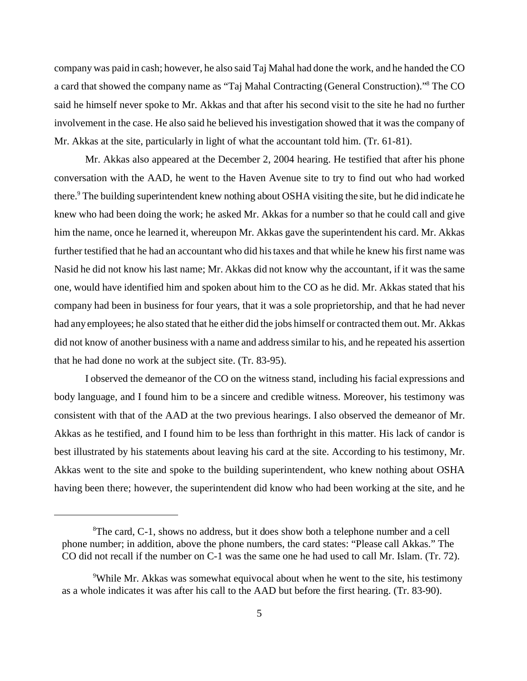company was paid in cash; however, he also said Taj Mahal had done the work, and he handed the CO a card that showed the company name as "Taj Mahal Contracting (General Construction)."8 The CO said he himself never spoke to Mr. Akkas and that after his second visit to the site he had no further involvement in the case. He also said he believed his investigation showed that it was the company of Mr. Akkas at the site, particularly in light of what the accountant told him. (Tr. 61-81).

Mr. Akkas also appeared at the December 2, 2004 hearing. He testified that after his phone conversation with the AAD, he went to the Haven Avenue site to try to find out who had worked there.<sup>9</sup> The building superintendent knew nothing about OSHA visiting the site, but he did indicate he knew who had been doing the work; he asked Mr. Akkas for a number so that he could call and give him the name, once he learned it, whereupon Mr. Akkas gave the superintendent his card. Mr. Akkas further testified that he had an accountant who did his taxes and that while he knew his first name was Nasid he did not know his last name; Mr. Akkas did not know why the accountant, if it was the same one, would have identified him and spoken about him to the CO as he did. Mr. Akkas stated that his company had been in business for four years, that it was a sole proprietorship, and that he had never had any employees; he also stated that he either did the jobs himself or contracted them out. Mr. Akkas did not know of another business with a name and address similar to his, and he repeated his assertion that he had done no work at the subject site. (Tr. 83-95).

I observed the demeanor of the CO on the witness stand, including his facial expressions and body language, and I found him to be a sincere and credible witness. Moreover, his testimony was consistent with that of the AAD at the two previous hearings. I also observed the demeanor of Mr. Akkas as he testified, and I found him to be less than forthright in this matter. His lack of candor is best illustrated by his statements about leaving his card at the site. According to his testimony, Mr. Akkas went to the site and spoke to the building superintendent, who knew nothing about OSHA having been there; however, the superintendent did know who had been working at the site, and he

<sup>&</sup>lt;sup>8</sup>The card, C-1, shows no address, but it does show both a telephone number and a cell phone number; in addition, above the phone numbers, the card states: "Please call Akkas." The CO did not recall if the number on C-1 was the same one he had used to call Mr. Islam. (Tr. 72).

<sup>&</sup>lt;sup>9</sup>While Mr. Akkas was somewhat equivocal about when he went to the site, his testimony as a whole indicates it was after his call to the AAD but before the first hearing. (Tr. 83-90).